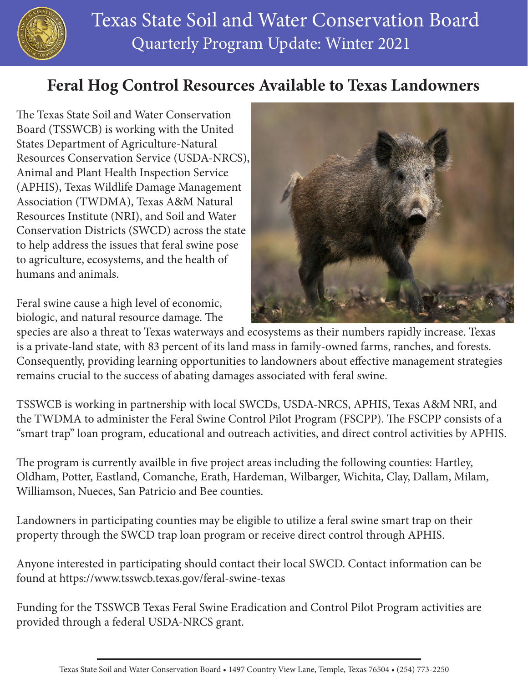

## **Feral Hog Control Resources Available to Texas Landowners**

The Texas State Soil and Water Conservation Board (TSSWCB) is working with the United States Department of Agriculture-Natural Resources Conservation Service (USDA-NRCS), Animal and Plant Health Inspection Service (APHIS), Texas Wildlife Damage Management Association (TWDMA), Texas A&M Natural Resources Institute (NRI), and Soil and Water Conservation Districts (SWCD) across the state to help address the issues that feral swine pose to agriculture, ecosystems, and the health of humans and animals.

Feral swine cause a high level of economic, biologic, and natural resource damage. The



species are also a threat to Texas waterways and ecosystems as their numbers rapidly increase. Texas is a private-land state, with 83 percent of its land mass in family-owned farms, ranches, and forests. Consequently, providing learning opportunities to landowners about effective management strategies remains crucial to the success of abating damages associated with feral swine.

TSSWCB is working in partnership with local SWCDs, USDA-NRCS, APHIS, Texas A&M NRI, and the TWDMA to administer the Feral Swine Control Pilot Program (FSCPP). The FSCPP consists of a "smart trap" loan program, educational and outreach activities, and direct control activities by APHIS.

The program is currently availble in five project areas including the following counties: Hartley, Oldham, Potter, Eastland, Comanche, Erath, Hardeman, Wilbarger, Wichita, Clay, Dallam, Milam, Williamson, Nueces, San Patricio and Bee counties.

Landowners in participating counties may be eligible to utilize a feral swine smart trap on their property through the SWCD trap loan program or receive direct control through APHIS.

Anyone interested in participating should contact their local SWCD. Contact information can be found at <https://www.tsswcb.texas.gov/feral-swine-texas>

Funding for the TSSWCB Texas Feral Swine Eradication and Control Pilot Program activities are provided through a federal USDA-NRCS grant.